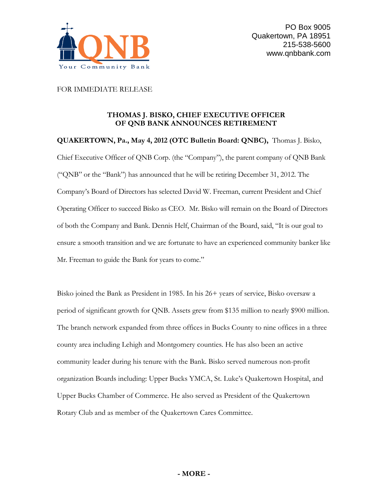

FOR IMMEDIATE RELEASE

## **THOMAS J. BISKO, CHIEF EXECUTIVE OFFICER OF QNB BANK ANNOUNCES RETIREMENT**

**QUAKERTOWN, Pa., May 4, 2012 (OTC Bulletin Board: QNBC),** Thomas J. Bisko, Chief Executive Officer of QNB Corp. (the "Company"), the parent company of QNB Bank ("QNB" or the "Bank") has announced that he will be retiring December 31, 2012. The Company's Board of Directors has selected David W. Freeman, current President and Chief Operating Officer to succeed Bisko as CEO. Mr. Bisko will remain on the Board of Directors of both the Company and Bank. Dennis Helf, Chairman of the Board, said, "It is our goal to ensure a smooth transition and we are fortunate to have an experienced community banker like Mr. Freeman to guide the Bank for years to come."

Bisko joined the Bank as President in 1985. In his 26+ years of service, Bisko oversaw a period of significant growth for QNB. Assets grew from \$135 million to nearly \$900 million. The branch network expanded from three offices in Bucks County to nine offices in a three county area including Lehigh and Montgomery counties. He has also been an active community leader during his tenure with the Bank. Bisko served numerous non-profit organization Boards including: Upper Bucks YMCA, St. Luke's Quakertown Hospital, and Upper Bucks Chamber of Commerce. He also served as President of the Quakertown Rotary Club and as member of the Quakertown Cares Committee.